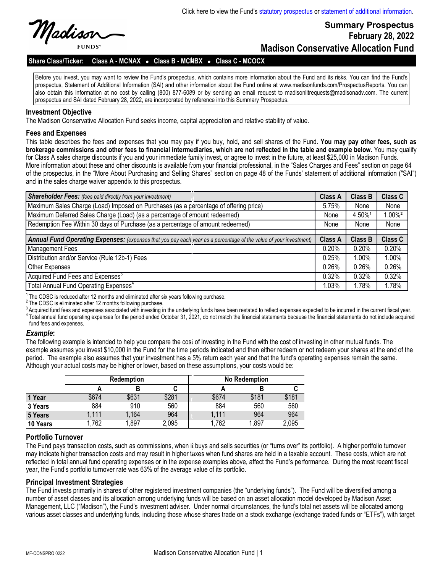

**FUNDS** 

# **Summary Prospectus February 28, 2022 Madison Conservative Allocation Fund**

#### Share Class/Ticker: Class A - MCNAX • Class B - MCNBX • Class C - MCOCX

Before you invest, you may want to review the Fund's prospectus, which contains more information about the Fund and its risks. You can find the Fund's r prospectus, Statement of Additional Information (SAI) and other information about the Fund online at www.madisonfunds.com/ProspectusReports. You can also obtain this information at no cost by calling (800) 877-6089 or by sending an email request to madisonlitrequests@madisonadv.com. The current and CAI dated February 20, 2022, are incorrected by as forecase into this C prospectus and SAI dated February 28, 2022, are incorporated by reference into this Summary Prospectus.

k

e

#### **Investment Objective**

The Madison Conservative Allocation Fund seeks income, capital appreciation and relative stability of value. i

#### **Fees and Expenses**

This table describes the fees and expenses that you may pay if you buy, hold, and sell shares of the Fund. **You may pay other fees, such as**  w **brokerage commissions and other fees to financial intermediaries, which are not reflected in the table and example below.** You may qualify t for Class A sales charge discounts if you and your immediate family invest, or agree to invest in the future, at least \$25,000 in Madison Funds. More information about these and other discounts is available from your financial professional, in the "Sales Charges and Fees" section on page 64 of the prospectus, in the "More About Purchasing and Selling Shares" section on page 48 of the Funds' statement of additional information ("SAI") F and in the sales charge waiver appendix to this prospectus.

| <b>Shareholder Fees:</b> (fees paid directly from your investment)                                                | <b>Class A</b> | <b>Class B</b> | <b>Class C</b>       |
|-------------------------------------------------------------------------------------------------------------------|----------------|----------------|----------------------|
| Maximum Sales Charge (Load) Imposed on Purchases (as a percentage of offering price)                              |                | None           | None                 |
| Maximum Deferred Sales Charge (Load) (as a percentage of amount redeemed)                                         |                | 4.50%1         | $.00\%$ <sup>2</sup> |
| Redemption Fee Within 30 days of Purchase (as a percentage of amount redeemed)                                    |                | None           | None                 |
|                                                                                                                   |                |                |                      |
| Annual Fund Operating Expenses: (expenses that you pay each year as a percentage of the value of your investment) |                | <b>Class B</b> | Class C              |
| <b>Management Fees</b>                                                                                            | 0.20%          | 0.20%          | 0.20%                |
| Distribution and/or Service (Rule 12b-1) Fees                                                                     |                | $1.00\%$       | 1.00%                |
| Other Expenses                                                                                                    | 0.26%          | 0.26%          | 0.26%                |
| Acquired Fund Fees and Expenses <sup>3</sup>                                                                      | $0.32\%$       | $0.32\%$       | 0.32%                |
| Total Annual Fund Operating Expenses <sup>4</sup>                                                                 | 1.03%          | 1.78%          | 1.78%                |

<sup>1</sup> The CDSC is reduced after 12 months and eliminated after six years follo wing purchase.

<sup>2</sup>The CDSC is eliminated after 12 months following purchase.

<sup>2</sup> The CDSC is eliminated after 12 months following purchase.<br><sup>3</sup> Acquired fund fees and expenses associated with investing in the underlying funds have been restated to reflect expenses expected to be incurred in the cur <sup>4</sup> Total annual fund operating expenses for the period ended October 31, 2021, do not match the financial statements because the financial statements do not include acquired<br>fund fees and expenses fund fees and expenses. r

#### *Example***:**

The following example is intended to help you compare the cost of investing in the Fund with the cost of investing in other mutual funds. The p example assumes you invest \$10,000 in the Fund for the time periods indicated and then either redeem or not redeem your shares at the end of the e period. The example also assumes that your investment has a 5% return each year and that the fund's operating expenses remain the same. .<br>Although your actual costs may be higher or lower, based on these assumptions, your costs would be:

|          | <b>Redemption</b> |       |       |       | No Redemption |       |  |  |
|----------|-------------------|-------|-------|-------|---------------|-------|--|--|
|          |                   |       |       |       | В             | C     |  |  |
| 1 Year   | \$674             | \$631 | \$281 | \$674 | \$181         | \$181 |  |  |
| 3 Years  | 884               | 910   | 560   | 884   | 560           | 560   |  |  |
| 5 Years  | 1,111             | 1,164 | 964   | 1,111 | 964           | 964   |  |  |
| 10 Years | 1,762             | 1,897 | 2,095 | 1,762 | 1,897         | 2,095 |  |  |

# **Portfolio Turnover**

The Fund pays transaction costs, such as commissions, when it buys and sells securities (or "turns over" its portfolio). A higher portfolio turnover e may indicate higher transaction costs and may result in higher taxes when fund shares are held in a taxable account. These costs, which are not reflected in total annual fund operating expenses or in the expense examples above, affect the Fund's performance. During the most recent fiscal year, the Fund's portfolio turnover rate was 63% of the average value of its portfolio. n

#### **Principal Investment Strategies**

r micipar myesunem on ategres<br>The Fund invests primarily in shares of other registered investment companies (the "underlying funds"). The Fund will be diversified among a number of asset classes and its allocation among underlying funds will be based on an asset allocation model developed by Madison Asset number of asset classes and its allocation among underlying funds will be based on an Management, LLC ("Madison"), the Fund's investment adviser. Under normal circumstances, the fund's total net assets will be allocated among various asset classes and underlying funds, including those whose shares trade on a stock exchange (exchange traded funds or "ETFs"), with target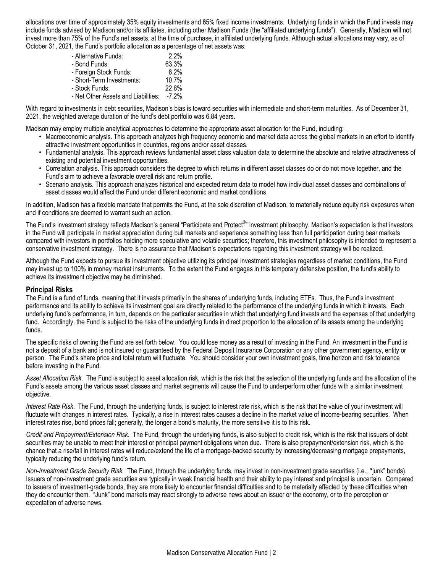allocations over time of approximately 35% equity investments and 65% fixed income investments. Underlying funds in which the Fund invests may include funds advised by Madison and/or its affiliates, including other Madison Funds (the "affiliated underlying funds"). Generally, Madison will not invest more than 75% of the Fund's net assets, at the time of purchase, in affiliated underlying funds. Although actual allocations may vary, as of October 31, 2021, the Fund's portfolio allocation as a percentage of net assets was:

| - Alternative Funds:                | 2.2%     |
|-------------------------------------|----------|
| - Bond Funds:                       | 63.3%    |
| - Foreign Stock Funds:              | 8.2%     |
| - Short-Term Investments:           | 10.7%    |
| - Stock Funds:                      | 22.8%    |
| - Net Other Assets and Liabilities: | $-7.2\%$ |

With regard to investments in debt securities, Madison's bias is toward securities with intermediate and short-term maturities. As of December 31, 2021, the weighted average duration of the fund's debt portfolio was 6.84 years.

Madison may employ multiple analytical approaches to determine the appropriate asset allocation for the Fund, including:

- Macroeconomic analysis. This approach analyzes high frequency economic and market data across the global markets in an effort to identify attractive investment opportunities in countries, regions and/or asset classes.
- Fundamental analysis. This approach reviews fundamental asset class valuation data to determine the absolute and relative attractiveness of existing and potential investment opportunities.
- Correlation analysis. This approach considers the degree to which returns in different asset classes do or do not move together, and the Fund's aim to achieve a favorable overall risk and return profile.
- Scenario analysis. This approach analyzes historical and expected return data to model how individual asset classes and combinations of asset classes would affect the Fund under different economic and market conditions.

In addition, Madison has a flexible mandate that permits the Fund, at the sole discretion of Madison, to materially reduce equity risk exposures when and if conditions are deemed to warrant such an action.

The Fund's investment strategy reflects Madison's general "Participate and Protect<sup>®</sup>" investment philosophy. Madison's expectation is that investors in the Fund will participate in market appreciation during bull markets and experience something less than full participation during bear markets compared with investors in portfolios holding more speculative and volatile securities; therefore, this investment philosophy is intended to represent a conservative investment strategy. There is no assurance that Madison's expectations regarding this investment strategy will be realized.

Although the Fund expects to pursue its investment objective utilizing its principal investment strategies regardless of market conditions, the Fund may invest up to 100% in money market instruments. To the extent the Fund engages in this temporary defensive position, the fund's ability to achieve its investment objective may be diminished.

#### **Principal Risks**

The Fund is a fund of funds, meaning that it invests primarily in the shares of underlying funds, including ETFs. Thus, the Fund's investment performance and its ability to achieve its investment goal are directly related to the performance of the underlying funds in which it invests. Each underlying fund's performance, in turn, depends on the particular securities in which that underlying fund invests and the expenses of that underlying fund. Accordingly, the Fund is subject to the risks of the underlying funds in direct proportion to the allocation of its assets among the underlying funds.

The specific risks of owning the Fund are set forth below. You could lose money as a result of investing in the Fund. An investment in the Fund is not a deposit of a bank and is not insured or guaranteed by the Federal Deposit Insurance Corporation or any other government agency, entity or person. The Fund's share price and total return will fluctuate. You should consider your own investment goals, time horizon and risk tolerance before investing in the Fund.

*Asset Allocation Risk*. The Fund is subject to asset allocation risk, which is the risk that the selection of the underlying funds and the allocation of the Fund's assets among the various asset classes and market segments will cause the Fund to underperform other funds with a similar investment objective.

*Interest Rate Risk*. The Fund, through the underlying funds, is subject to interest rate risk**,** which is the risk that the value of your investment will fluctuate with changes in interest rates. Typically, a rise in interest rates causes a decline in the market value of income-bearing securities. When interest rates rise, bond prices fall; generally, the longer a bond's maturity, the more sensitive it is to this risk.

*Credit and Prepayment/Extension Risk*. The Fund, through the underlying funds, is also subject to credit risk, which is the risk that issuers of debt securities may be unable to meet their interest or principal payment obligations when due. There is also prepayment/extension risk, which is the chance that a rise/fall in interest rates will reduce/extend the life of a mortgage-backed security by increasing/decreasing mortgage prepayments, typically reducing the underlying fund's return.

*Non-Investment Grade Security Risk*. The Fund, through the underlying funds, may invest in non-investment grade securities (i.e., **"**junk" bonds). Issuers of non-investment grade securities are typically in weak financial health and their ability to pay interest and principal is uncertain. Compared to issuers of investment-grade bonds, they are more likely to encounter financial difficulties and to be materially affected by these difficulties when they do encounter them. "Junk" bond markets may react strongly to adverse news about an issuer or the economy, or to the perception or expectation of adverse news.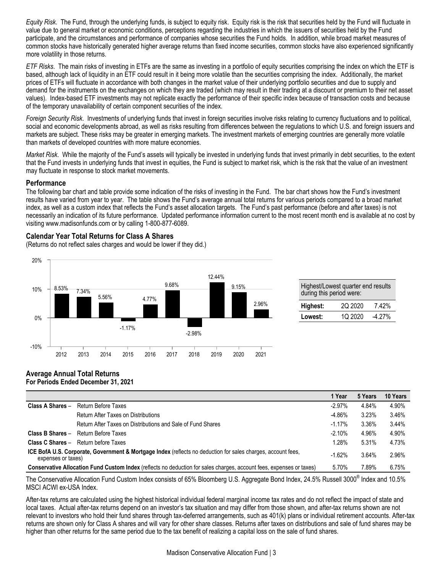*Equity Risk*. The Fund, through the underlying funds, is subject to equity risk. Equity risk is the risk that securities held by the Fund will fluctuate in value due to general market or economic conditions, perceptions regarding the industries in which the issuers of securities held by the Fund participate, and the circumstances and performance of companies whose securities the Fund holds. In addition, while broad market measures of common stocks have historically generated higher average returns than fixed income securities, common stocks have also experienced significantly more volatility in those returns.

*ETF Risks*. The main risks of investing in ETFs are the same as investing in a portfolio of equity securities comprising the index on which the ETF is based, although lack of liquidity in an ETF could result in it being more volatile than the securities comprising the index. Additionally, the market prices of ETFs will fluctuate in accordance with both changes in the market value of their underlying portfolio securities and due to supply and demand for the instruments on the exchanges on which they are traded (which may result in their trading at a discount or premium to their net asset values). Index-based ETF investments may not replicate exactly the performance of their specific index because of transaction costs and because of the temporary unavailability of certain component securities of the index.

*Foreign Security Risk*. Investments of underlying funds that invest in foreign securities involve risks relating to currency fluctuations and to political, social and economic developments abroad, as well as risks resulting from differences between the regulations to which U.S. and foreign issuers and markets are subject. These risks may be greater in emerging markets. The investment markets of emerging countries are generally more volatile than markets of developed countries with more mature economies.

*Market Risk*. While the majority of the Fund's assets will typically be invested in underlying funds that invest primarily in debt securities, to the extent that the Fund invests in underlying funds that invest in equities, the Fund is subject to market risk, which is the risk that the value of an investment may fluctuate in response to stock market movements.

# **Performance**

The following bar chart and table provide some indication of the risks of investing in the Fund. The bar chart shows how the Fund's investment results have varied from year to year. The table shows the Fund's average annual total returns for various periods compared to a broad market index, as well as a custom index that reflects the Fund's asset allocation targets. The Fund's past performance (before and after taxes) is not necessarily an indication of its future performance. Updated performance information current to the most recent month end is available at no cost by visiting www.madisonfunds.com or by calling 1-800-877-6089.

# **Calendar Year Total Returns for Class A Shares**

(Returns do not reflect sales charges and would be lower if they did.)



| Highest/Lowest quarter end results<br>during this period were: |         |          |  |  |
|----------------------------------------------------------------|---------|----------|--|--|
| Highest:                                                       | 2Q 2020 | 7.42%    |  |  |
| <b>Lowest:</b>                                                 | 1Q 2020 | $-4.27%$ |  |  |

#### **Average Annual Total Returns For Periods Ended December 31, 2021**

|                                                                                                                                    |                                                             | 1 Year    | 5 Years | 10 Years |
|------------------------------------------------------------------------------------------------------------------------------------|-------------------------------------------------------------|-----------|---------|----------|
| Class A Shares -                                                                                                                   | Return Before Taxes                                         | $-2.97\%$ | 4.84%   | 4.90%    |
|                                                                                                                                    | Return After Taxes on Distributions                         | $-4.86%$  | 3.23%   | 3.46%    |
|                                                                                                                                    | Return After Taxes on Distributions and Sale of Fund Shares | $-1.17\%$ | 3.36%   | 3.44%    |
| Class B Shares -                                                                                                                   | Return Before Taxes                                         | $-2.10%$  | 4.96%   | 4.90%    |
| Class C Shares -                                                                                                                   | Return before Taxes                                         | 1.28%     | 5.31%   | 4.73%    |
| ICE BofA U.S. Corporate, Government & Mortgage Index (reflects no deduction for sales charges, account fees,<br>expenses or taxes) |                                                             | $-1.62%$  | 3.64%   | 2.96%    |
| Conservative Allocation Fund Custom Index (reflects no deduction for sales charges, account fees, expenses or taxes)               |                                                             | 5.70%     | 7.89%   | 6.75%    |

The Conservative Allocation Fund Custom Index consists of 65% Bloomberg U.S. Aggregate Bond Index, 24.5% Russell 3000<sup>®</sup> Index and 10.5% MSCI ACWI ex-USA Index.

After-tax returns are calculated using the highest historical individual federal marginal income tax rates and do not reflect the impact of state and local taxes. Actual after-tax returns depend on an investor's tax situation and may differ from those shown, and after-tax returns shown are not relevant to investors who hold their fund shares through tax-deferred arrangements, such as 401(k) plans or individual retirement accounts. After-tax returns are shown only for Class A shares and will vary for other share classes. Returns after taxes on distributions and sale of fund shares may be higher than other returns for the same period due to the tax benefit of realizing a capital loss on the sale of fund shares.